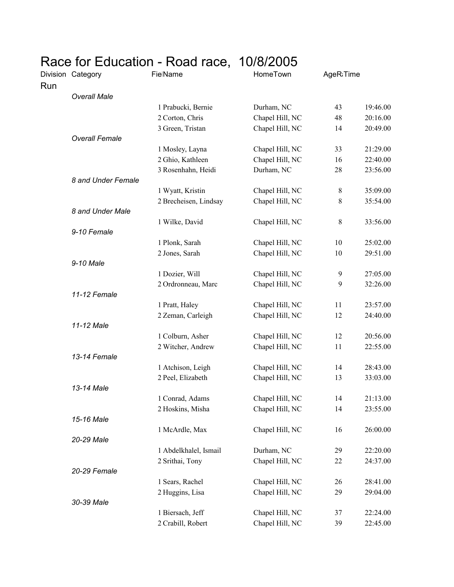| Race for Education - Road race, 10/8/2005 |  |
|-------------------------------------------|--|
|-------------------------------------------|--|

|     | Division Category     | <b>FielName</b>       | HomeTown        | AgeR <sub>i</sub> Time |          |
|-----|-----------------------|-----------------------|-----------------|------------------------|----------|
| Run | <b>Overall Male</b>   |                       |                 |                        |          |
|     |                       | 1 Prabucki, Bernie    | Durham, NC      | 43                     | 19:46.00 |
|     |                       | 2 Corton, Chris       | Chapel Hill, NC | 48                     | 20:16.00 |
|     |                       | 3 Green, Tristan      | Chapel Hill, NC | 14                     | 20:49.00 |
|     | <b>Overall Female</b> |                       |                 |                        |          |
|     |                       | 1 Mosley, Layna       | Chapel Hill, NC | 33                     | 21:29.00 |
|     |                       | 2 Ghio, Kathleen      | Chapel Hill, NC | 16                     | 22:40.00 |
|     |                       | 3 Rosenhahn, Heidi    | Durham, NC      | 28                     | 23:56.00 |
|     | 8 and Under Female    |                       |                 |                        |          |
|     |                       | 1 Wyatt, Kristin      | Chapel Hill, NC | $\,8\,$                | 35:09.00 |
|     |                       | 2 Brecheisen, Lindsay | Chapel Hill, NC | 8                      | 35:54.00 |
|     | 8 and Under Male      |                       |                 |                        |          |
|     |                       | 1 Wilke, David        | Chapel Hill, NC | $\,8\,$                | 33:56.00 |
|     | 9-10 Female           |                       |                 |                        |          |
|     |                       | 1 Plonk, Sarah        | Chapel Hill, NC | 10                     | 25:02.00 |
|     |                       | 2 Jones, Sarah        | Chapel Hill, NC | 10                     | 29:51.00 |
|     | 9-10 Male             |                       |                 |                        |          |
|     |                       | 1 Dozier, Will        | Chapel Hill, NC | 9                      | 27:05.00 |
|     |                       | 2 Ordronneau, Marc    | Chapel Hill, NC | 9                      | 32:26.00 |
|     | 11-12 Female          |                       |                 |                        |          |
|     |                       | 1 Pratt, Haley        | Chapel Hill, NC | 11                     | 23:57.00 |
|     |                       | 2 Zeman, Carleigh     | Chapel Hill, NC | 12                     | 24:40.00 |
|     | 11-12 Male            |                       |                 |                        |          |
|     |                       | 1 Colburn, Asher      | Chapel Hill, NC | 12                     | 20:56.00 |
|     |                       | 2 Witcher, Andrew     | Chapel Hill, NC | 11                     | 22:55.00 |
|     | 13-14 Female          |                       |                 |                        |          |
|     |                       | 1 Atchison, Leigh     | Chapel Hill, NC | 14                     | 28:43.00 |
|     |                       | 2 Peel, Elizabeth     | Chapel Hill, NC | 13                     | 33:03.00 |
|     | 13-14 Male            |                       |                 |                        |          |
|     |                       | 1 Conrad, Adams       | Chapel Hill, NC | 14                     | 21:13.00 |
|     |                       | 2 Hoskins, Misha      | Chapel Hill, NC | 14                     | 23:55.00 |
|     | 15-16 Male            |                       |                 |                        |          |
|     |                       | 1 McArdle, Max        | Chapel Hill, NC | 16                     | 26:00.00 |
|     | 20-29 Male            |                       |                 |                        |          |
|     |                       | 1 Abdelkhalel, Ismail | Durham, NC      | 29                     | 22:20.00 |
|     |                       | 2 Srithai, Tony       | Chapel Hill, NC | 22                     | 24:37.00 |
|     | 20-29 Female          |                       |                 |                        |          |
|     |                       | 1 Sears, Rachel       | Chapel Hill, NC | 26                     | 28:41.00 |
|     |                       | 2 Huggins, Lisa       | Chapel Hill, NC | 29                     | 29:04.00 |
|     | 30-39 Male            | 1 Biersach, Jeff      | Chapel Hill, NC | 37                     | 22:24.00 |
|     |                       |                       |                 | 39                     |          |
|     |                       | 2 Crabill, Robert     | Chapel Hill, NC |                        | 22:45.00 |